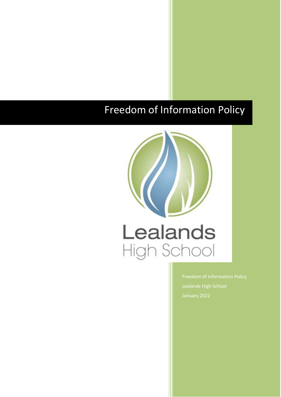# Freedom of Information Policy

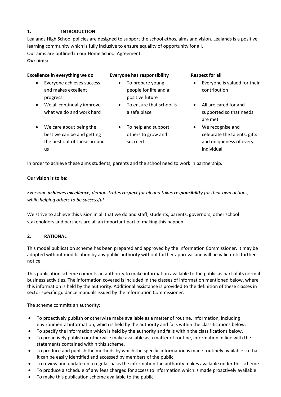# **1. INTRODUCTION**

Lealands High School policies are designed to support the school ethos, aims and vision. Lealands is a positive learning community which is fully inclusive to ensure equality of opportunity for all. Our aims are outlined in our Home School Agreement.

**Our aims:**

# **Excellence in everything we do Everyone has responsibility Respect for all**

- Everyone achieves success and makes excellent progress
- We all continually improve what we do and work hard
- We care about being the best we can be and getting the best out of those around us
- To prepare young people for life and a positive future
- To ensure that school is a safe place
- To help and support others to grow and succeed

- Everyone is valued for their contribution
- All are cared for and supported so that needs are met
- We recognise and celebrate the talents, gifts and uniqueness of every individual

In order to achieve these aims students, parents and the school need to work in partnership.

# **Our vision is to be:**

*Everyone achieves excellence, demonstrates respect for all and takes responsibility for their own actions, while helping others to be successful.*

We strive to achieve this vision in all that we do and staff, students, parents, governors, other school stakeholders and partners are all an important part of making this happen.

# **2. RATIONAL**

This model publication scheme has been prepared and approved by the Information Commissioner. It may be adopted without modification by any public authority without further approval and will be valid until further notice.

This publication scheme commits an authority to make information available to the public as part of its normal business activities. The information covered is included in the classes of information mentioned below, where this information is held by the authority. Additional assistance is provided to the definition of these classes in sector specific guidance manuals issued by the Information Commissioner.

The scheme commits an authority:

- To proactively publish or otherwise make available as a matter of routine, information, including environmental information, which is held by the authority and falls within the classifications below.
- To specify the information which is held by the authority and falls within the classifications below.
- To proactively publish or otherwise make available as a matter of routine, information in line with the statements contained within this scheme.
- To produce and publish the methods by which the specific information is made routinely available so that it can be easily identified and accessed by members of the public.
- To review and update on a regular basis the information the authority makes available under this scheme.
- To produce a schedule of any fees charged for access to information which is made proactively available.
- To make this publication scheme available to the public.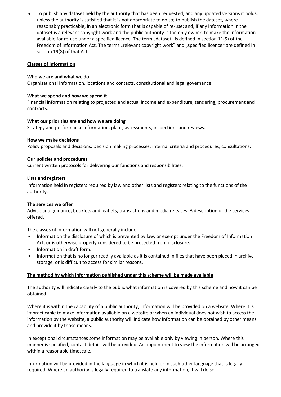To publish any dataset held by the authority that has been requested, and any updated versions it holds, unless the authority is satisfied that it is not appropriate to do so; to publish the dataset, where reasonably practicable, in an electronic form that is capable of re-use; and, if any information in the dataset is a relevant copyright work and the public authority is the only owner, to make the information available for re-use under a specified licence. The term "dataset" is defined in section 11(5) of the Freedom of Information Act. The terms "relevant copyright work" and "specified licence" are defined in section 19(8) of that Act.

#### **Classes of Information**

# **Who we are and what we do**

Organisational information, locations and contacts, constitutional and legal governance.

#### **What we spend and how we spend it**

Financial information relating to projected and actual income and expenditure, tendering, procurement and contracts.

# **What our priorities are and how we are doing**

Strategy and performance information, plans, assessments, inspections and reviews.

# **How we make decisions**

Policy proposals and decisions. Decision making processes, internal criteria and procedures, consultations.

# **Our policies and procedures**

Current written protocols for delivering our functions and responsibilities.

# **Lists and registers**

Information held in registers required by law and other lists and registers relating to the functions of the authority.

#### **The services we offer**

Advice and guidance, booklets and leaflets, transactions and media releases. A description of the services offered.

The classes of information will not generally include:

- Information the disclosure of which is prevented by law, or exempt under the Freedom of Information Act, or is otherwise properly considered to be protected from disclosure.
- Information in draft form.
- Information that is no longer readily available as it is contained in files that have been placed in archive storage, or is difficult to access for similar reasons.

# **The method by which information published under this scheme will be made available**

The authority will indicate clearly to the public what information is covered by this scheme and how it can be obtained.

Where it is within the capability of a public authority, information will be provided on a website. Where it is impracticable to make information available on a website or when an individual does not wish to access the information by the website, a public authority will indicate how information can be obtained by other means and provide it by those means.

In exceptional circumstances some information may be available only by viewing in person. Where this manner is specified, contact details will be provided. An appointment to view the information will be arranged within a reasonable timescale.

Information will be provided in the language in which it is held or in such other language that is legally required. Where an authority is legally required to translate any information, it will do so.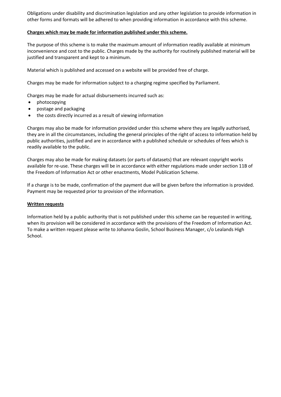Obligations under disability and discrimination legislation and any other legislation to provide information in other forms and formats will be adhered to when providing information in accordance with this scheme.

# **Charges which may be made for information published under this scheme.**

The purpose of this scheme is to make the maximum amount of information readily available at minimum inconvenience and cost to the public. Charges made by the authority for routinely published material will be justified and transparent and kept to a minimum.

Material which is published and accessed on a website will be provided free of charge.

Charges may be made for information subject to a charging regime specified by Parliament.

Charges may be made for actual disbursements incurred such as:

- photocopying
- postage and packaging
- the costs directly incurred as a result of viewing information

Charges may also be made for information provided under this scheme where they are legally authorised, they are in all the circumstances, including the general principles of the right of access to information held by public authorities, justified and are in accordance with a published schedule or schedules of fees which is readily available to the public.

Charges may also be made for making datasets (or parts of datasets) that are relevant copyright works available for re-use. These charges will be in accordance with either regulations made under section 11B of the Freedom of Information Act or other enactments, Model Publication Scheme.

If a charge is to be made, confirmation of the payment due will be given before the information is provided. Payment may be requested prior to provision of the information.

#### **Written requests**

Information held by a public authority that is not published under this scheme can be requested in writing, when its provision will be considered in accordance with the provisions of the Freedom of Information Act. To make a written request please write to Johanna Goslin, School Business Manager, c/o Lealands High School.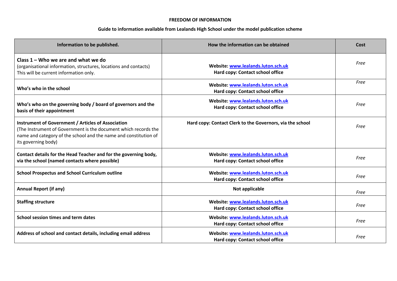| Information to be published.                                                                                                                                                                                            | How the information can be obtained                                    | Cost |
|-------------------------------------------------------------------------------------------------------------------------------------------------------------------------------------------------------------------------|------------------------------------------------------------------------|------|
| Class $1 -$ Who we are and what we do<br>(organisational information, structures, locations and contacts)<br>This will be current information only.                                                                     | Website: www.lealands.luton.sch.uk<br>Hard copy: Contact school office | Free |
| Who's who in the school                                                                                                                                                                                                 | Website: www.lealands.luton.sch.uk<br>Hard copy: Contact school office | Free |
| Who's who on the governing body / board of governors and the<br>basis of their appointment                                                                                                                              | Website: www.lealands.luton.sch.uk<br>Hard copy: Contact school office | Free |
| <b>Instrument of Government / Articles of Association</b><br>(The Instrument of Government is the document which records the<br>name and category of the school and the name and constitution of<br>its governing body) | Hard copy: Contact Clerk to the Governors, via the school              | Free |
| Contact details for the Head Teacher and for the governing body,<br>via the school (named contacts where possible)                                                                                                      | Website: www.lealands.luton.sch.uk<br>Hard copy: Contact school office | Free |
| <b>School Prospectus and School Curriculum outline</b>                                                                                                                                                                  | Website: www.lealands.luton.sch.uk<br>Hard copy: Contact school office | Free |
| <b>Annual Report (if any)</b>                                                                                                                                                                                           | Not applicable                                                         | Free |
| <b>Staffing structure</b>                                                                                                                                                                                               | Website: www.lealands.luton.sch.uk<br>Hard copy: Contact school office | Free |
| School session times and term dates                                                                                                                                                                                     | Website: www.lealands.luton.sch.uk<br>Hard copy: Contact school office | Free |
| Address of school and contact details, including email address                                                                                                                                                          | Website: www.lealands.luton.sch.uk<br>Hard copy: Contact school office | Free |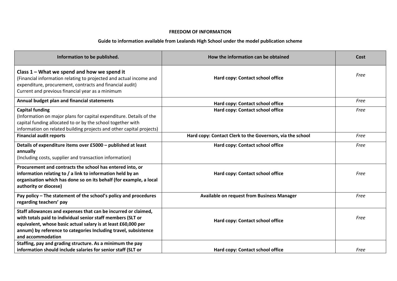| Information to be published.                                                                                                                                                                                                                                                           | How the information can be obtained                       | Cost |
|----------------------------------------------------------------------------------------------------------------------------------------------------------------------------------------------------------------------------------------------------------------------------------------|-----------------------------------------------------------|------|
| Class $1$ – What we spend and how we spend it<br>(Financial information relating to projected and actual income and<br>expenditure, procurement, contracts and financial audit)<br>Current and previous financial year as a minimum                                                    | Hard copy: Contact school office                          | Free |
| Annual budget plan and financial statements                                                                                                                                                                                                                                            | Hard copy: Contact school office                          | Free |
| <b>Capital funding</b><br>(Information on major plans for capital expenditure. Details of the<br>capital funding allocated to or by the school together with<br>information on related building projects and other capital projects)                                                   | Hard copy: Contact school office                          | Free |
| <b>Financial audit reports</b>                                                                                                                                                                                                                                                         | Hard copy: Contact Clerk to the Governors, via the school | Free |
| Details of expenditure items over £5000 - published at least<br>annually<br>(Including costs, supplier and transaction information)                                                                                                                                                    | Hard copy: Contact school office                          | Free |
| Procurement and contracts the school has entered into, or<br>information relating to / a link to information held by an<br>organisation which has done so on its behalf (for example, a local<br>authority or diocese)                                                                 | Hard copy: Contact school office                          | Free |
| Pay policy - The statement of the school's policy and procedures<br>regarding teachers' pay                                                                                                                                                                                            | <b>Available on request from Business Manager</b>         | Free |
| Staff allowances and expenses that can be incurred or claimed,<br>with totals paid to individual senior staff members (SLT or<br>equivalent, whose basic actual salary is at least £60,000 per<br>annum) by reference to categories Including travel, subsistence<br>and accommodation | Hard copy: Contact school office                          | Free |
| Staffing, pay and grading structure. As a minimum the pay<br>information should include salaries for senior staff (SLT or                                                                                                                                                              | Hard copy: Contact school office                          | Free |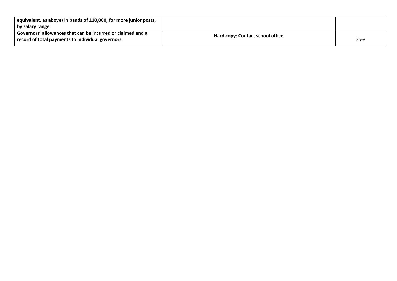| equivalent, as above) in bands of £10,000; for more junior posts,<br>by salary range                            |                                  |      |
|-----------------------------------------------------------------------------------------------------------------|----------------------------------|------|
| Governors' allowances that can be incurred or claimed and a<br>record of total payments to individual governors | Hard copy: Contact school office | Free |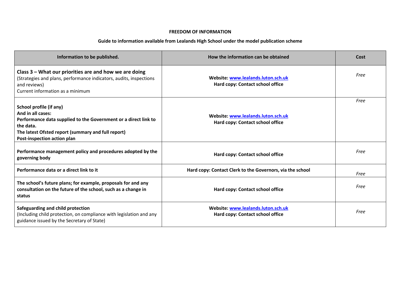| Information to be published.                                                                                                                                                                                      | How the information can be obtained                                    | Cost |
|-------------------------------------------------------------------------------------------------------------------------------------------------------------------------------------------------------------------|------------------------------------------------------------------------|------|
| Class $3$ – What our priorities are and how we are doing<br>(Strategies and plans, performance indicators, audits, inspections<br>and reviews)<br>Current information as a minimum                                | Website: www.lealands.luton.sch.uk<br>Hard copy: Contact school office | Free |
| School profile (if any)<br>And in all cases:<br>Performance data supplied to the Government or a direct link to<br>the data.<br>The latest Ofsted report (summary and full report)<br>Post-inspection action plan | Website: www.lealands.luton.sch.uk<br>Hard copy: Contact school office | Free |
| Performance management policy and procedures adopted by the<br>governing body                                                                                                                                     | Hard copy: Contact school office                                       | Free |
| Performance data or a direct link to it                                                                                                                                                                           | Hard copy: Contact Clerk to the Governors, via the school              | Free |
| The school's future plans; for example, proposals for and any<br>consultation on the future of the school, such as a change in<br>status                                                                          | Hard copy: Contact school office                                       | Free |
| Safeguarding and child protection<br>(Including child protection, on compliance with legislation and any<br>guidance issued by the Secretary of State)                                                            | Website: www.lealands.luton.sch.uk<br>Hard copy: Contact school office | Free |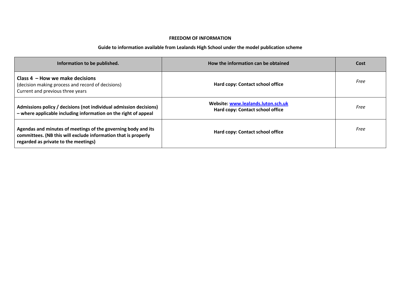| Information to be published.                                                                                                                                            | How the information can be obtained                                    | Cost |
|-------------------------------------------------------------------------------------------------------------------------------------------------------------------------|------------------------------------------------------------------------|------|
| Class $4$ – How we make decisions<br>(decision making process and record of decisions)<br>Current and previous three years                                              | Hard copy: Contact school office                                       | Free |
| Admissions policy / decisions (not individual admission decisions)<br>- where applicable including information on the right of appeal                                   | Website: www.lealands.luton.sch.uk<br>Hard copy: Contact school office | Free |
| Agendas and minutes of meetings of the governing body and its<br>committees. (NB this will exclude information that is properly<br>regarded as private to the meetings) | Hard copy: Contact school office                                       | Free |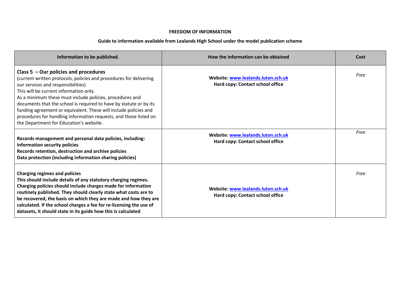| Information to be published.                                                                                                                                                                                                                                                                                                                                                                                                                                                                                        | How the information can be obtained                                    | Cost |
|---------------------------------------------------------------------------------------------------------------------------------------------------------------------------------------------------------------------------------------------------------------------------------------------------------------------------------------------------------------------------------------------------------------------------------------------------------------------------------------------------------------------|------------------------------------------------------------------------|------|
| Class $5 -$ Our policies and procedures<br>(current written protocols, policies and procedures for delivering<br>our services and responsibilities)<br>This will be current information only.<br>As a minimum these must include policies, procedures and<br>documents that the school is required to have by statute or by its<br>funding agreement or equivalent. These will include policies and<br>procedures for handling information requests, and those listed on<br>the Department for Education's website. | Website: www.lealands.luton.sch.uk<br>Hard copy: Contact school office | Free |
| Records management and personal data policies, including:<br><b>Information security policies</b><br>Records retention, destruction and archive policies<br>Data protection (including information sharing policies)                                                                                                                                                                                                                                                                                                | Website: www.lealands.luton.sch.uk<br>Hard copy: Contact school office | Free |
| <b>Charging regimes and policies</b><br>This should include details of any statutory charging regimes.<br>Charging policies should include charges made for information<br>routinely published. They should clearly state what costs are to<br>be recovered, the basis on which they are made and how they are<br>calculated. If the school charges a fee for re-licensing the use of<br>datasets, it should state in its guide how this is calculated                                                              | Website: www.lealands.luton.sch.uk<br>Hard copy: Contact school office | Free |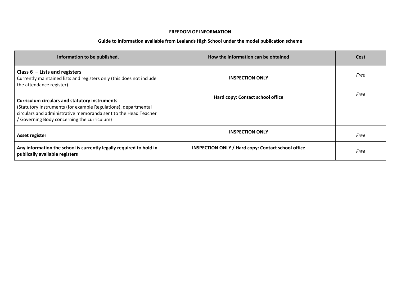| Information to be published.                                                                                                                                                                                                             | How the information can be obtained                       | Cost |
|------------------------------------------------------------------------------------------------------------------------------------------------------------------------------------------------------------------------------------------|-----------------------------------------------------------|------|
| Class $6$ – Lists and registers<br>Currently maintained lists and registers only (this does not include<br>the attendance register)                                                                                                      | <b>INSPECTION ONLY</b>                                    | Free |
| <b>Curriculum circulars and statutory instruments</b><br>(Statutory Instruments (for example Regulations), departmental<br>circulars and administrative memoranda sent to the Head Teacher<br>(Governing Body concerning the curriculum) | Hard copy: Contact school office                          | Free |
| Asset register                                                                                                                                                                                                                           | <b>INSPECTION ONLY</b>                                    | Free |
| Any information the school is currently legally required to hold in<br>publically available registers                                                                                                                                    | <b>INSPECTION ONLY / Hard copy: Contact school office</b> | Free |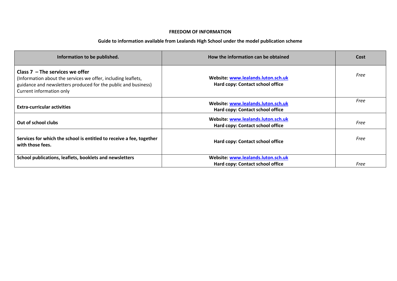| Information to be published.                                                                                                                                                                     | How the information can be obtained                                    | Cost |
|--------------------------------------------------------------------------------------------------------------------------------------------------------------------------------------------------|------------------------------------------------------------------------|------|
| Class $7$ – The services we offer<br>(Information about the services we offer, including leaflets,<br>guidance and newsletters produced for the public and business)<br>Current information only | Website: www.lealands.luton.sch.uk<br>Hard copy: Contact school office | Free |
| <b>Extra-curricular activities</b>                                                                                                                                                               | Website: www.lealands.luton.sch.uk<br>Hard copy: Contact school office | Free |
| Website: www.lealands.luton.sch.uk<br>Out of school clubs<br>Hard copy: Contact school office                                                                                                    |                                                                        | Free |
| Services for which the school is entitled to receive a fee, together<br>with those fees.                                                                                                         | Hard copy: Contact school office                                       | Free |
| School publications, leaflets, booklets and newsletters                                                                                                                                          | Website: www.lealands.luton.sch.uk<br>Hard copy: Contact school office | Free |